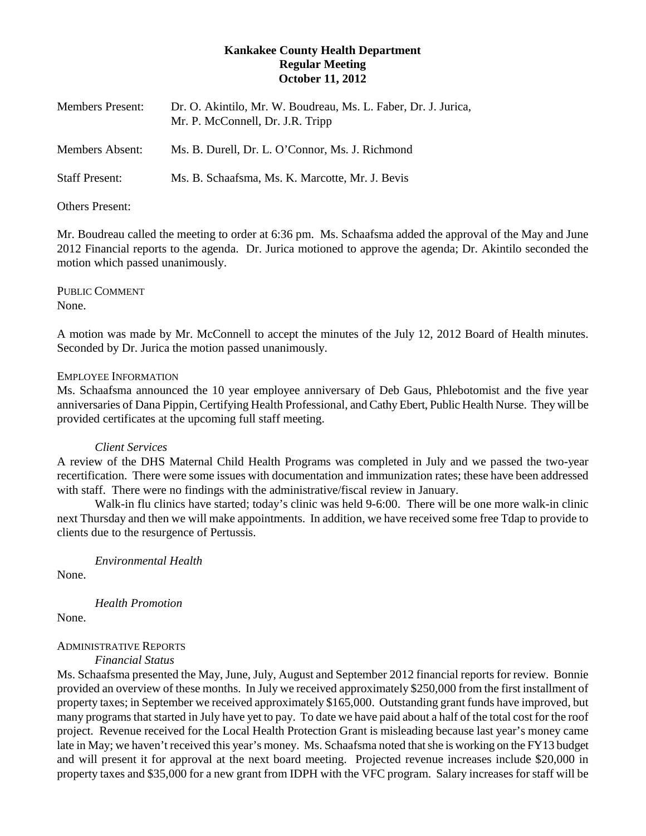# **Kankakee County Health Department Regular Meeting October 11, 2012**

| <b>Members Present:</b> | Dr. O. Akintilo, Mr. W. Boudreau, Ms. L. Faber, Dr. J. Jurica,<br>Mr. P. McConnell, Dr. J.R. Tripp |
|-------------------------|----------------------------------------------------------------------------------------------------|
| Members Absent:         | Ms. B. Durell, Dr. L. O'Connor, Ms. J. Richmond                                                    |
| <b>Staff Present:</b>   | Ms. B. Schaafsma, Ms. K. Marcotte, Mr. J. Bevis                                                    |

## Others Present:

Mr. Boudreau called the meeting to order at 6:36 pm. Ms. Schaafsma added the approval of the May and June 2012 Financial reports to the agenda. Dr. Jurica motioned to approve the agenda; Dr. Akintilo seconded the motion which passed unanimously.

PUBLIC COMMENT None.

A motion was made by Mr. McConnell to accept the minutes of the July 12, 2012 Board of Health minutes. Seconded by Dr. Jurica the motion passed unanimously.

#### EMPLOYEE INFORMATION

Ms. Schaafsma announced the 10 year employee anniversary of Deb Gaus, Phlebotomist and the five year anniversaries of Dana Pippin, Certifying Health Professional, and Cathy Ebert, Public Health Nurse. They will be provided certificates at the upcoming full staff meeting.

#### *Client Services*

A review of the DHS Maternal Child Health Programs was completed in July and we passed the two-year recertification. There were some issues with documentation and immunization rates; these have been addressed with staff. There were no findings with the administrative/fiscal review in January.

Walk-in flu clinics have started; today's clinic was held 9-6:00. There will be one more walk-in clinic next Thursday and then we will make appointments. In addition, we have received some free Tdap to provide to clients due to the resurgence of Pertussis.

*Environmental Health*

None.

*Health Promotion*

None.

## ADMINISTRATIVE REPORTS

*Financial Status*

Ms. Schaafsma presented the May, June, July, August and September 2012 financial reports for review. Bonnie provided an overview of these months. In July we received approximately \$250,000 from the first installment of property taxes; in September we received approximately \$165,000. Outstanding grant funds have improved, but many programs that started in July have yet to pay. To date we have paid about a half of the total cost for the roof project. Revenue received for the Local Health Protection Grant is misleading because last year's money came late in May; we haven't received this year's money. Ms. Schaafsma noted that she is working on the FY13 budget and will present it for approval at the next board meeting. Projected revenue increases include \$20,000 in property taxes and \$35,000 for a new grant from IDPH with the VFC program. Salary increases for staff will be